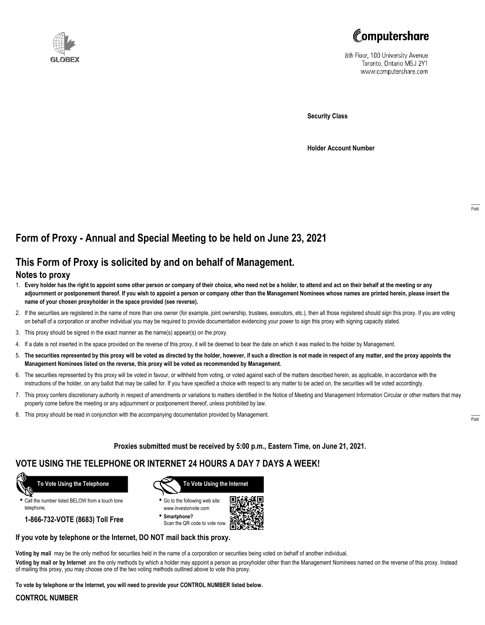



8th Floor, 100 University Avenue Toronto, Ontario M5J 2Y1 www.computershare.com

**Security Class**

**Holder Account Number**

# **Form of Proxy - Annual and Special Meeting to be held on June 23, 2021**

## **This Form of Proxy is solicited by and on behalf of Management.**

### **Notes to proxy**

- 1. **Every holder has the right to appoint some other person or company of their choice, who need not be a holder, to attend and act on their behalf at the meeting or any adjournment or postponement thereof. If you wish to appoint a person or company other than the Management Nominees whose names are printed herein, please insert the name of your chosen proxyholder in the space provided (see reverse).**
- 2. If the securities are registered in the name of more than one owner (for example, joint ownership, trustees, executors, etc.), then all those registered should sign this proxy. If you are voting on behalf of a corporation or another individual you may be required to provide documentation evidencing your power to sign this proxy with signing capacity stated.
- 3. This proxy should be signed in the exact manner as the name(s) appear(s) on the proxy.
- 4. If a date is not inserted in the space provided on the reverse of this proxy, it will be deemed to bear the date on which it was mailed to the holder by Management.
- 5. **The securities represented by this proxy will be voted as directed by the holder, however, if such a direction is not made in respect of any matter, and the proxy appoints the Management Nominees listed on the reverse, this proxy will be voted as recommended by Management.**
- 6. The securities represented by this proxy will be voted in favour, or withheld from voting, or voted against each of the matters described herein, as applicable, in accordance with the instructions of the holder, on any ballot that may be called for. If you have specified a choice with respect to any matter to be acted on, the securities will be voted accordingly.
- 7. This proxy confers discretionary authority in respect of amendments or variations to matters identified in the Notice of Meeting and Management Information Circular or other matters that may properly come before the meeting or any adjournment or postponement thereof, unless prohibited by law.
- 8. This proxy should be read in conjunction with the accompanying documentation provided by Management.

**Proxies submitted must be received by 5:00 p.m., Eastern Time, on June 21, 2021.**

## **VOTE USING THE TELEPHONE OR INTERNET 24 HOURS A DAY 7 DAYS A WEEK!**



**•** Call the number listed BELOW from a touch tone telephone.

**1-866-732-VOTE (8683) Toll Free**



**•** Go to the following web site: www.investorvote.com

**• Smartphone?** Scan the QR code to vote now.



### **If you vote by telephone or the Internet, DO NOT mail back this proxy.**

**Voting by mail** may be the only method for securities held in the name of a corporation or securities being voted on behalf of another individual.

**Voting by mail or by Internet** are the only methods by which a holder may appoint a person as proxyholder other than the Management Nominees named on the reverse of this proxy. Instead of mailing this proxy, you may choose one of the two voting methods outlined above to vote this proxy.

**To vote by telephone or the Internet, you will need to provide your CONTROL NUMBER listed below.**

#### **CONTROL NUMBER**